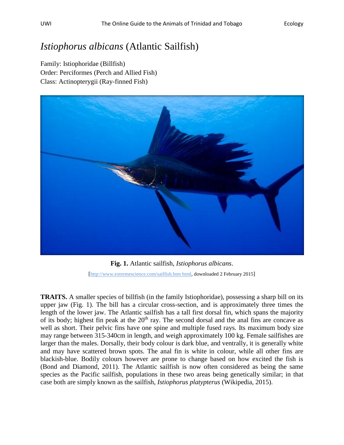## *Istiophorus albicans* (Atlantic Sailfish)

Family: Istiophoridae (Billfish) Order: Perciformes (Perch and Allied Fish) Class: Actinopterygii (Ray-finned Fish)



**Fig. 1.** Atlantic sailfish, *Istiophorus albicans*. [http://www.extremescience.com/sailfish.htm html, downloaded 2 February 2015]

**TRAITS.** A smaller species of billfish (in the family Istiophoridae), possessing a sharp bill on its upper jaw (Fig. 1). The bill has a circular cross-section, and is approximately three times the length of the lower jaw. The Atlantic sailfish has a tall first dorsal fin, which spans the majority of its body; highest fin peak at the 20<sup>th</sup> ray. The second dorsal and the anal fins are concave as well as short. Their pelvic fins have one spine and multiple fused rays. Its maximum body size may range between 315-340cm in length, and weigh approximately 100 kg. Female sailfishes are larger than the males. Dorsally, their body colour is dark blue, and ventrally, it is generally white and may have scattered brown spots. The anal fin is white in colour, while all other fins are blackish-blue. Bodily colours however are prone to change based on how excited the fish is (Bond and Diamond, 2011). The Atlantic sailfish is now often considered as being the same species as the Pacific sailfish, populations in these two areas being genetically similar; in that case both are simply known as the sailfish, *Istiophorus platypterus* (Wikipedia, 2015).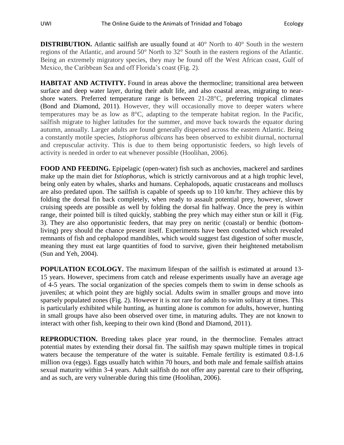**DISTRIBUTION.** Atlantic sailfish are usually found at 40° North to 40° South in the western regions of the Atlantic, and around 50° North to 32° South in the eastern regions of the Atlantic. Being an extremely migratory species, they may be found off the West African coast, Gulf of Mexico, the Caribbean Sea and off Florida's coast (Fig. 2).

**HABITAT AND ACTIVITY.** Found in areas above the thermocline; transitional area between surface and deep water layer, during their adult life, and also coastal areas, migrating to nearshore waters. Preferred temperature range is between 21-28°C, preferring tropical climates (Bond and Diamond, 2011). However, they will occasionally move to deeper waters where temperatures may be as low as 8°C, adapting to the temperate habitat region. In the Pacific, sailfish migrate to higher latitudes for the summer, and move back towards the equator during autumn, annually. Larger adults are found generally dispersed across the eastern Atlantic. Being a constantly motile species, *Istiophorus albicans* has been observed to exhibit diurnal, nocturnal and crepuscular activity. This is due to them being opportunistic feeders, so high levels of activity is needed in order to eat whenever possible (Hoolihan, 2006).

**FOOD AND FEEDING.** Epipelagic (open-water) fish such as anchovies, mackerel and sardines make up the main diet for *Istiophorus,* which is strictly carnivorous and at a high trophic level, being only eaten by whales, sharks and humans. Cephalopods, aquatic crustaceans and molluscs are also predated upon. The sailfish is capable of speeds up to 110 km/hr. They achieve this by folding the dorsal fin back completely, when ready to assault potential prey, however, slower cruising speeds are possible as well by folding the dorsal fin halfway. Once the prey is within range, their pointed bill is tilted quickly, stabbing the prey which may either stun or kill it (Fig. 3). They are also opportunistic feeders, that may prey on neritic (coastal) or benthic (bottomliving) prey should the chance present itself. Experiments have been conducted which revealed remnants of fish and cephalopod mandibles, which would suggest fast digestion of softer muscle, meaning they must eat large quantities of food to survive, given their heightened metabolism (Sun and Yeh, 2004).

**POPULATION ECOLOGY.** The maximum lifespan of the sailfish is estimated at around 13-15 years. However, specimens from catch and release experiments usually have an average age of 4-5 years. The social organization of the species compels them to swim in dense schools as juveniles; at which point they are highly social. Adults swim in smaller groups and move into sparsely populated zones (Fig. 2). However it is not rare for adults to swim solitary at times. This is particularly exhibited while hunting, as hunting alone is common for adults, however, hunting in small groups have also been observed over time, in maturing adults. They are not known to interact with other fish, keeping to their own kind (Bond and Diamond, 2011).

**REPRODUCTION.** Breeding takes place year round, in the thermocline. Females attract potential mates by extending their dorsal fin. The sailfish may spawn multiple times in tropical waters because the temperature of the water is suitable. Female fertility is estimated 0.8-1.6 million ova (eggs). Eggs usually hatch within 70 hours, and both male and female sailfish attains sexual maturity within 3-4 years. Adult sailfish do not offer any parental care to their offspring, and as such, are very vulnerable during this time (Hoolihan, 2006).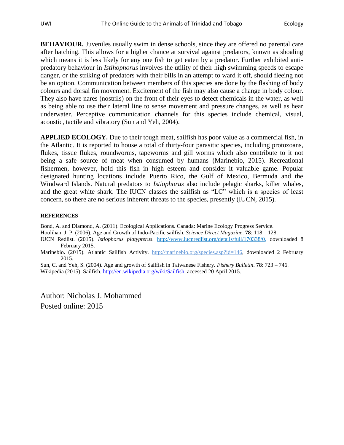**BEHAVIOUR.** Juveniles usually swim in dense schools, since they are offered no parental care after hatching. This allows for a higher chance at survival against predators, known as shoaling which means it is less likely for any one fish to get eaten by a predator. Further exhibited antipredatory behaviour in *Istihophorus* involves the utility of their high swimming speeds to escape danger, or the striking of predators with their bills in an attempt to ward it off, should fleeing not be an option. Communication between members of this species are done by the flashing of body colours and dorsal fin movement. Excitement of the fish may also cause a change in body colour. They also have nares (nostrils) on the front of their eyes to detect chemicals in the water, as well as being able to use their lateral line to sense movement and pressure changes, as well as hear underwater. Perceptive communication channels for this species include chemical, visual, acoustic, tactile and vibratory (Sun and Yeh, 2004).

**APPLIED ECOLOGY.** Due to their tough meat, sailfish has poor value as a commercial fish, in the Atlantic. It is reported to house a total of thirty-four parasitic species, including protozoans, flukes, tissue flukes, roundworms, tapeworms and gill worms which also contribute to it not being a safe source of meat when consumed by humans (Marinebio, 2015). Recreational fishermen, however, hold this fish in high esteem and consider it valuable game. Popular designated hunting locations include Puerto Rico, the Gulf of Mexico, Bermuda and the Windward Islands. Natural predators to *Istiophorus* also include pelagic sharks, killer whales, and the great white shark. The IUCN classes the sailfish as "LC" which is a species of least concern, so there are no serious inherent threats to the species, presently (IUCN, 2015).

## **REFERENCES**

Bond, A. and Diamond, A. (2011). Ecological Applications. Canada: Marine Ecology Progress Service.

Hoolihan, J. P. (2006). Age and Growth of Indo-Pacific sailfish. *Science Direct Magazine*. **78**: 118 – 128.

IUCN Redlist. (2015). *Istiophorus platypterus*. [http://www.iucnredlist.org/details/full/170338/0,](http://www.iucnredlist.org/details/full/170338/0) downloaded 8 February 2015.

Marinebio. (2015). Atlantic Sailfish Activity. http://marinebio.org/species.asp?id=146, downloaded 2 February 2015.

Sun, C. and Yeh, S. (2004). Age and growth of Sailfish in Taiwanese Fishery. *Fishery Bulletin*. **78**: 723 – 746. Wikipedia (2015). Sailfish. [http://en.wikipedia.org/wiki/Sailfish,](http://en.wikipedia.org/wiki/Sailfish) accessed 20 April 2015.

Author: Nicholas J. Mohammed Posted online: 2015